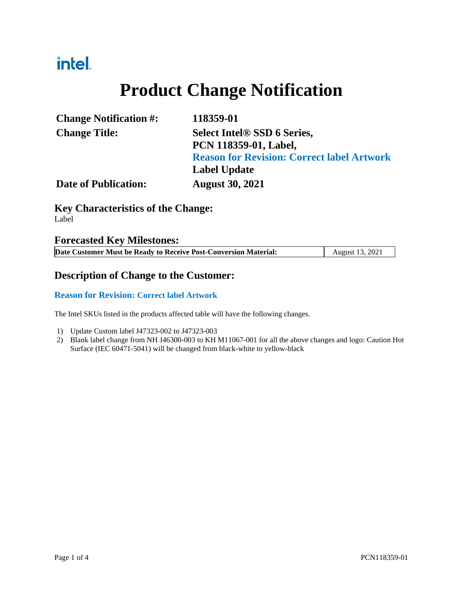## intel.

# **Product Change Notification**

| <b>Change Notification #:</b> | 118359-01                                         |
|-------------------------------|---------------------------------------------------|
| <b>Change Title:</b>          | Select Intel <sup>®</sup> SSD 6 Series,           |
|                               | PCN 118359-01, Label,                             |
|                               | <b>Reason for Revision: Correct label Artwork</b> |
|                               | <b>Label Update</b>                               |
| <b>Date of Publication:</b>   | <b>August 30, 2021</b>                            |

### **Key Characteristics of the Change:**

Label

#### **Forecasted Key Milestones:**

| Date Customer Must be Ready to Receive Post-Conversion Material: | August 13, 2021 |
|------------------------------------------------------------------|-----------------|

#### **Description of Change to the Customer:**

#### **Reason for Revision: Correct label Artwork**

The Intel SKUs listed in the products affected table will have the following changes.

- 1) Update Custom label J47323-002 to J47323-003
- 2) Blank label change from NH J46300-003 to KH M11067-001 for all the above changes and logo: Caution Hot Surface (IEC 60471-5041) will be changed from black-white to yellow-black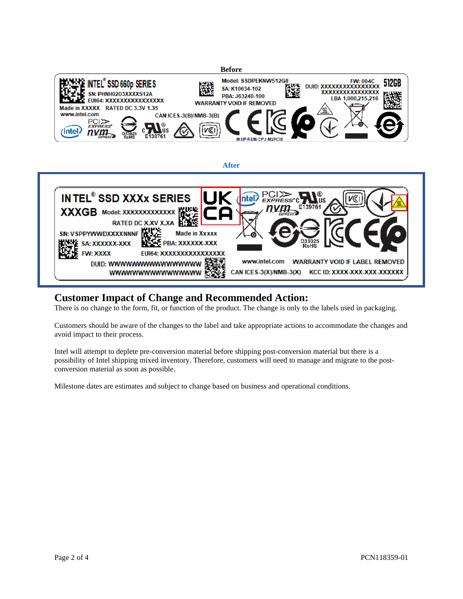



#### **Customer Impact of Change and Recommended Action:**

There is no change to the form, fit, or function of the product. The change is only to the labels used in packaging.

Customers should be aware of the changes to the label and take appropriate actions to accommodate the changes and avoid impact to their process.

Intel will attempt to deplete pre-conversion material before shipping post-conversion material but there is a possibility of Intel shipping mixed inventory. Therefore, customers will need to manage and migrate to the postconversion material as soon as possible.

Milestone dates are estimates and subject to change based on business and operational conditions.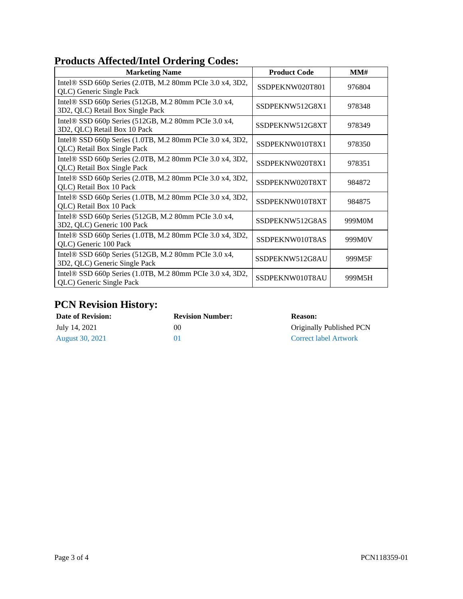#### **Products Affected/Intel Ordering Codes:**

| <b>Marketing Name</b>                                                                    | <b>Product Code</b> | MM#    |
|------------------------------------------------------------------------------------------|---------------------|--------|
| Intel® SSD 660p Series (2.0TB, M.2 80mm PCIe 3.0 x4, 3D2,<br>QLC) Generic Single Pack    | SSDPEKNW020T801     | 976804 |
| Intel® SSD 660p Series (512GB, M.2 80mm PCIe 3.0 x4,<br>3D2, QLC) Retail Box Single Pack | SSDPEKNW512G8X1     | 978348 |
| Intel® SSD 660p Series (512GB, M.2 80mm PCIe 3.0 x4,<br>3D2, QLC) Retail Box 10 Pack     | SSDPEKNW512G8XT     | 978349 |
| Intel® SSD 660p Series (1.0TB, M.2 80mm PCIe 3.0 x4, 3D2,<br>QLC) Retail Box Single Pack | SSDPEKNW010T8X1     | 978350 |
| Intel® SSD 660p Series (2.0TB, M.2 80mm PCIe 3.0 x4, 3D2,<br>QLC) Retail Box Single Pack | SSDPEKNW020T8X1     | 978351 |
| Intel® SSD 660p Series (2.0TB, M.2 80mm PCIe 3.0 x4, 3D2,<br>QLC) Retail Box 10 Pack     | SSDPEKNW020T8XT     | 984872 |
| Intel® SSD 660p Series (1.0TB, M.2 80mm PCIe 3.0 x4, 3D2,<br>QLC) Retail Box 10 Pack     | SSDPEKNW010T8XT     | 984875 |
| Intel® SSD 660p Series (512GB, M.2 80mm PCIe 3.0 x4,<br>3D2, QLC) Generic 100 Pack       | SSDPEKNW512G8AS     | 999M0M |
| Intel® SSD 660p Series (1.0TB, M.2 80mm PCIe 3.0 x4, 3D2,<br>QLC) Generic 100 Pack       | SSDPEKNW010T8AS     | 999M0V |
| Intel® SSD 660p Series (512GB, M.2 80mm PCIe 3.0 x4,<br>3D2, QLC) Generic Single Pack    | SSDPEKNW512G8AU     | 999M5F |
| Intel® SSD 660p Series (1.0TB, M.2 80mm PCIe 3.0 x4, 3D2,<br>QLC) Generic Single Pack    | SSDPEKNW010T8AU     | 999M5H |

### **PCN Revision History:**

| <b>Date of Revision:</b> | <b>Revision Number:</b> | <b>Reason:</b>               |
|--------------------------|-------------------------|------------------------------|
| July 14, 2021            | $($ $)($                | Originally Published PCN     |
| <b>August 30, 2021</b>   | $^{\prime}$             | <b>Correct label Artwork</b> |